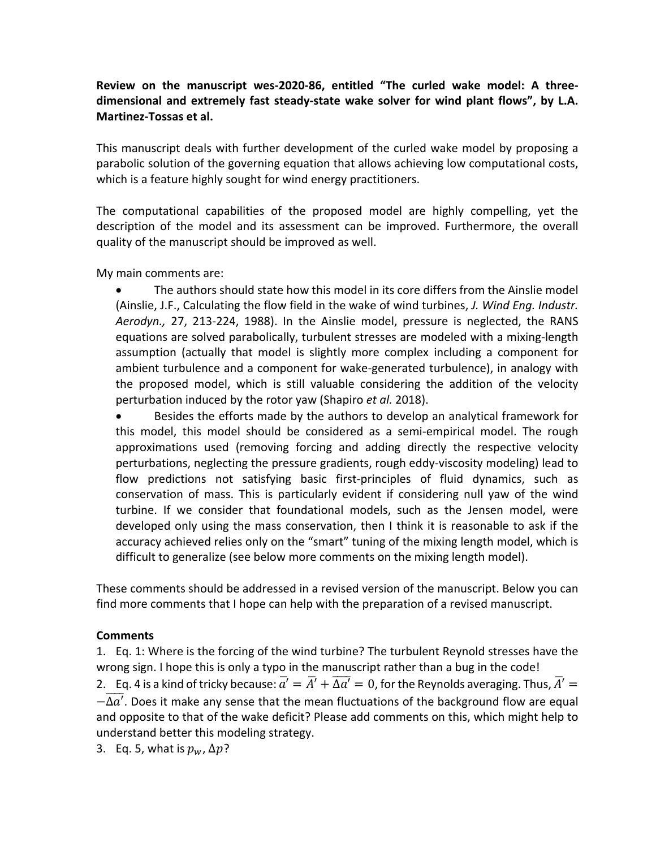## **Review on the manuscript wes-2020-86, entitled "The curled wake model: A threedimensional and extremely fast steady-state wake solver for wind plant flows", by L.A. Martinez-Tossas et al.**

This manuscript deals with further development of the curled wake model by proposing a parabolic solution of the governing equation that allows achieving low computational costs, which is a feature highly sought for wind energy practitioners.

The computational capabilities of the proposed model are highly compelling, yet the description of the model and its assessment can be improved. Furthermore, the overall quality of the manuscript should be improved as well.

My main comments are:

• The authors should state how this model in its core differs from the Ainslie model (Ainslie, J.F., Calculating the flow field in the wake of wind turbines, *J. Wind Eng. Industr. Aerodyn.,* 27, 213-224, 1988). In the Ainslie model, pressure is neglected, the RANS equations are solved parabolically, turbulent stresses are modeled with a mixing-length assumption (actually that model is slightly more complex including a component for ambient turbulence and a component for wake-generated turbulence), in analogy with the proposed model, which is still valuable considering the addition of the velocity perturbation induced by the rotor yaw (Shapiro *et al.* 2018).

• Besides the efforts made by the authors to develop an analytical framework for this model, this model should be considered as a semi-empirical model. The rough approximations used (removing forcing and adding directly the respective velocity perturbations, neglecting the pressure gradients, rough eddy-viscosity modeling) lead to flow predictions not satisfying basic first-principles of fluid dynamics, such as conservation of mass. This is particularly evident if considering null yaw of the wind turbine. If we consider that foundational models, such as the Jensen model, were developed only using the mass conservation, then I think it is reasonable to ask if the accuracy achieved relies only on the "smart" tuning of the mixing length model, which is difficult to generalize (see below more comments on the mixing length model).

These comments should be addressed in a revised version of the manuscript. Below you can find more comments that I hope can help with the preparation of a revised manuscript.

## **Comments**

1. Eq. 1: Where is the forcing of the wind turbine? The turbulent Reynold stresses have the wrong sign. I hope this is only a typo in the manuscript rather than a bug in the code! 2. Eq. 4 is a kind of tricky because:  $\overline{a'}=\overline{A'}+\overline{\Delta a'}=0$ , for the Reynolds averaging. Thus,  $\overline{A'}=0$  $-\Delta a'$ . Does it make any sense that the mean fluctuations of the background flow are equal and opposite to that of the wake deficit? Please add comments on this, which might help to understand better this modeling strategy.

3. Eq. 5, what is  $p_w$ ,  $\Delta p$ ?